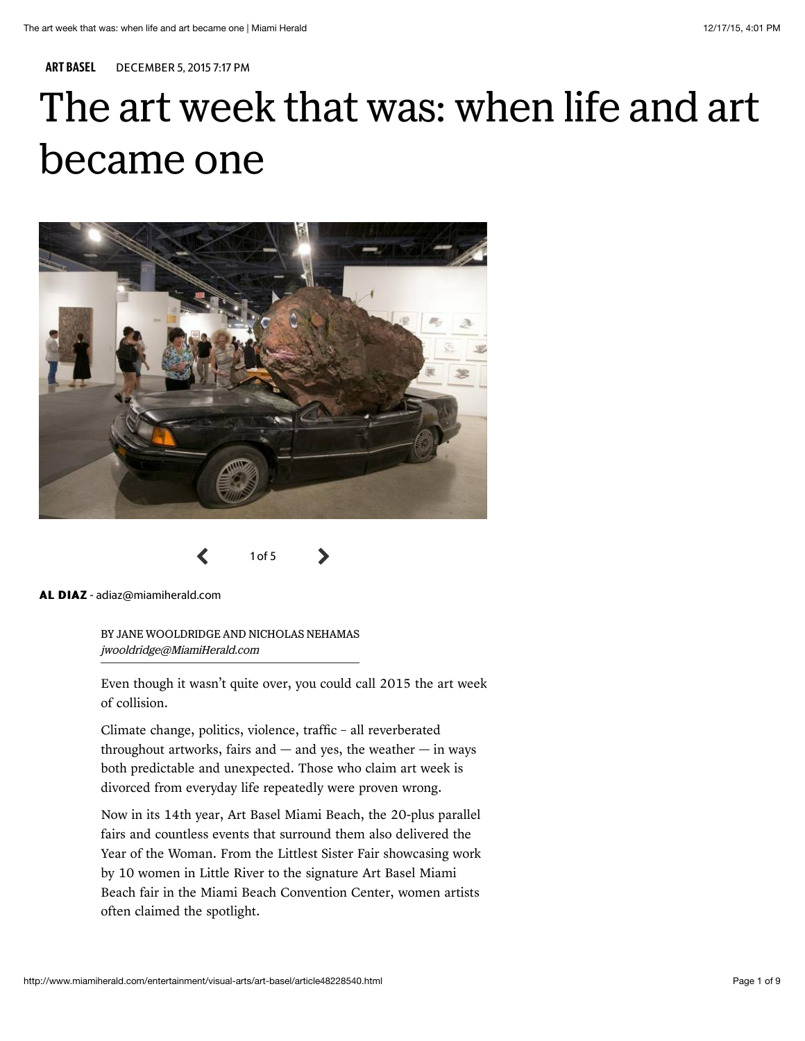ART BASEL DECEMBER 5, 2015 7:17 PM

# The art week that was: when life and art became one





AL DIAZ - adiaz@miamiherald.com

BY JANE WOOLDRIDGE AND NICHOLAS NEHAMAS jwooldridge@MiamiHerald.com

Even though it wasn't quite over, you could call 2015 the art week of collision.

Climate change, politics, violence, traffic – all reverberated throughout artworks, fairs and  $-$  and yes, the weather  $-$  in ways both predictable and unexpected. Those who claim art week is divorced from everyday life repeatedly were proven wrong.

Now in its 14th year, Art Basel Miami Beach, the 20-plus parallel fairs and countless events that surround them also delivered the Year of the Woman. From the Littlest Sister Fair showcasing work by 10 women in Little River to the signature Art Basel Miami Beach fair in the Miami Beach Convention Center, women artists often claimed the spotlight.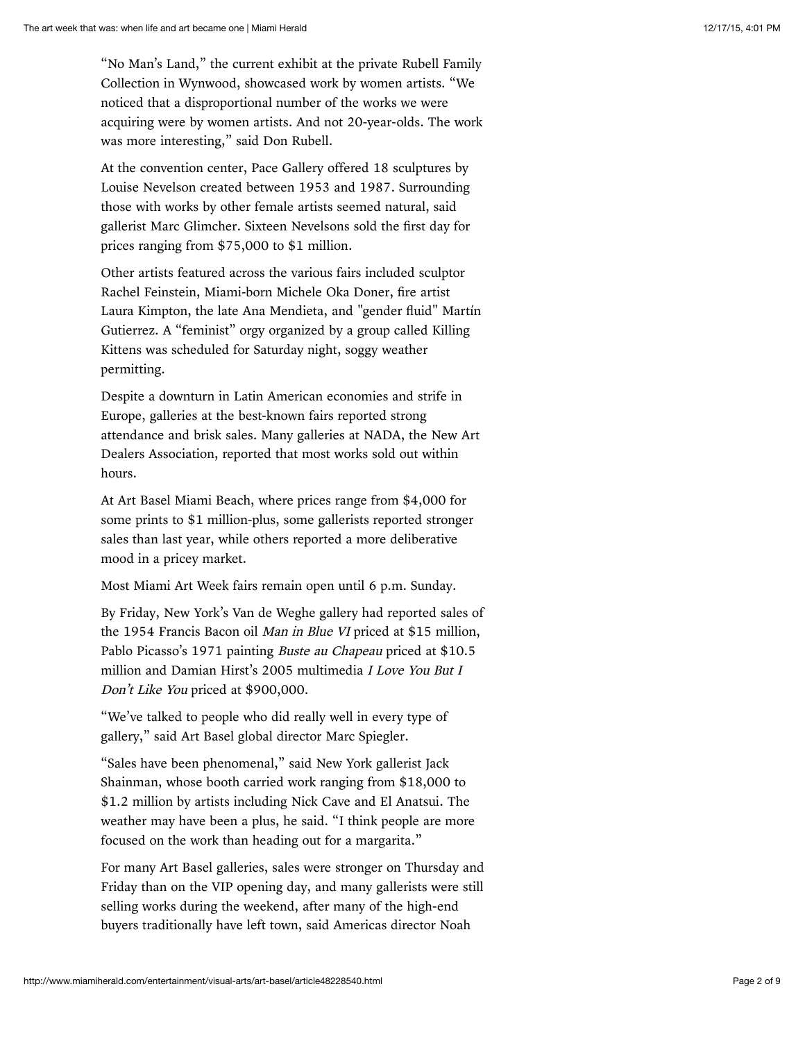"No Man's Land," the current exhibit at the private Rubell Family Collection in Wynwood, showcased work by women artists. "We noticed that a disproportional number of the works we were acquiring were by women artists. And not 20-year-olds. The work was more interesting," said Don Rubell.

At the convention center, Pace Gallery offered 18 sculptures by Louise Nevelson created between 1953 and 1987. Surrounding those with works by other female artists seemed natural, said gallerist Marc Glimcher. Sixteen Nevelsons sold the first day for prices ranging from \$75,000 to \$1 million.

Other artists featured across the various fairs included sculptor Rachel Feinstein, Miami-born Michele Oka Doner, fire artist Laura Kimpton, the late Ana Mendieta, and "gender fluid" Martín Gutierrez. A "feminist" orgy organized by a group called Killing Kittens was scheduled for Saturday night, soggy weather permitting.

Despite a downturn in Latin American economies and strife in Europe, galleries at the best-known fairs reported strong attendance and brisk sales. Many galleries at NADA, the New Art Dealers Association, reported that most works sold out within hours.

At Art Basel Miami Beach, where prices range from \$4,000 for some prints to \$1 million-plus, some gallerists reported stronger sales than last year, while others reported a more deliberative mood in a pricey market.

Most Miami Art Week fairs remain open until 6 p.m. Sunday.

By Friday, New York's Van de Weghe gallery had reported sales of the 1954 Francis Bacon oil Man in Blue VI priced at \$15 million, Pablo Picasso's 1971 painting Buste au Chapeau priced at \$10.5 million and Damian Hirst's 2005 multimedia I Love You But I Don't Like You priced at \$900,000.

"We've talked to people who did really well in every type of gallery," said Art Basel global director Marc Spiegler.

"Sales have been phenomenal," said New York gallerist Jack Shainman, whose booth carried work ranging from \$18,000 to \$1.2 million by artists including Nick Cave and El Anatsui. The weather may have been a plus, he said. "I think people are more focused on the work than heading out for a margarita."

For many Art Basel galleries, sales were stronger on Thursday and Friday than on the VIP opening day, and many gallerists were still selling works during the weekend, after many of the high-end buyers traditionally have left town, said Americas director Noah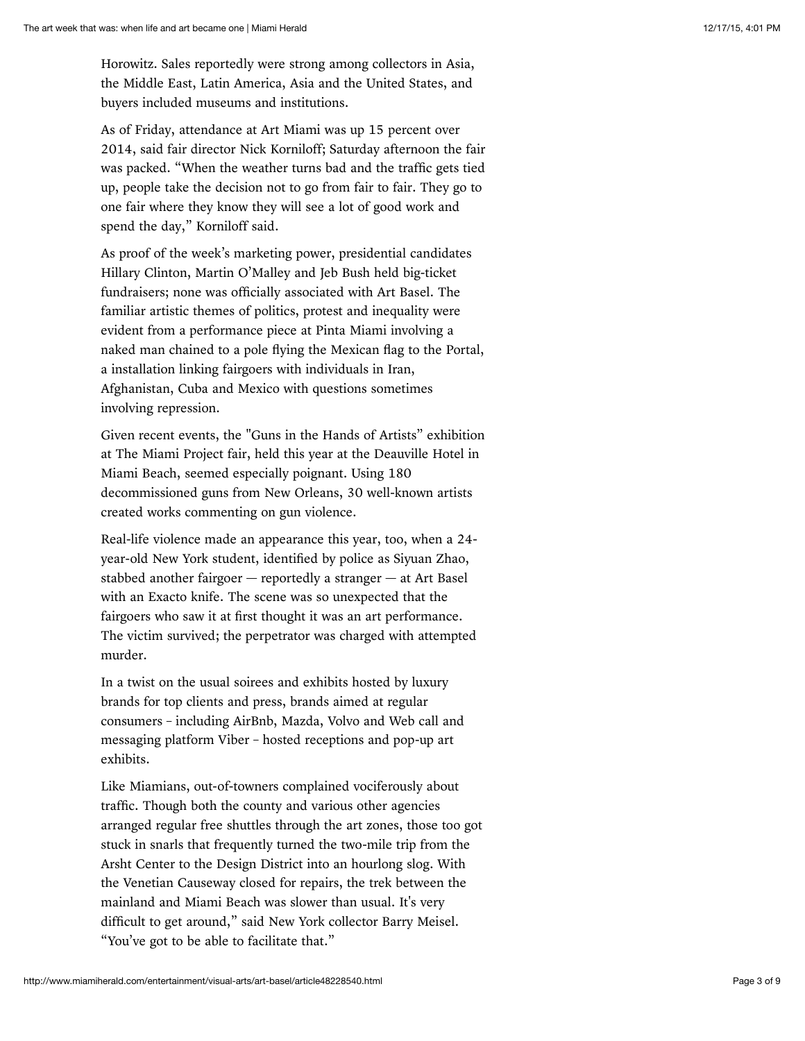Horowitz. Sales reportedly were strong among collectors in Asia, the Middle East, Latin America, Asia and the United States, and buyers included museums and institutions.

As of Friday, attendance at Art Miami was up 15 percent over 2014, said fair director Nick Korniloff; Saturday afternoon the fair was packed. "When the weather turns bad and the traffic gets tied up, people take the decision not to go from fair to fair. They go to one fair where they know they will see a lot of good work and spend the day," Korniloff said.

As proof of the week's marketing power, presidential candidates Hillary Clinton, Martin O'Malley and Jeb Bush held big-ticket fundraisers; none was officially associated with Art Basel. The familiar artistic themes of politics, protest and inequality were evident from a performance piece at Pinta Miami involving a naked man chained to a pole flying the Mexican flag to the Portal, a installation linking fairgoers with individuals in Iran, Afghanistan, Cuba and Mexico with questions sometimes involving repression.

Given recent events, the "Guns in the Hands of Artists" exhibition at The Miami Project fair, held this year at the Deauville Hotel in Miami Beach, seemed especially poignant. Using 180 decommissioned guns from New Orleans, 30 well-known artists created works commenting on gun violence.

Real-life violence made an appearance this year, too, when a 24 year-old New York student, identified by police as Siyuan Zhao, stabbed another fairgoer — reportedly a stranger — at Art Basel with an Exacto knife. The scene was so unexpected that the fairgoers who saw it at first thought it was an art performance. The victim survived; the perpetrator was charged with attempted murder.

In a twist on the usual soirees and exhibits hosted by luxury brands for top clients and press, brands aimed at regular consumers – including AirBnb, Mazda, Volvo and Web call and messaging platform Viber – hosted receptions and pop-up art exhibits.

Like Miamians, out-of-towners complained vociferously about traffic. Though both the county and various other agencies arranged regular free shuttles through the art zones, those too got stuck in snarls that frequently turned the two-mile trip from the Arsht Center to the Design District into an hourlong slog. With the Venetian Causeway closed for repairs, the trek between the mainland and Miami Beach was slower than usual. It's very difficult to get around," said New York collector Barry Meisel. "You've got to be able to facilitate that."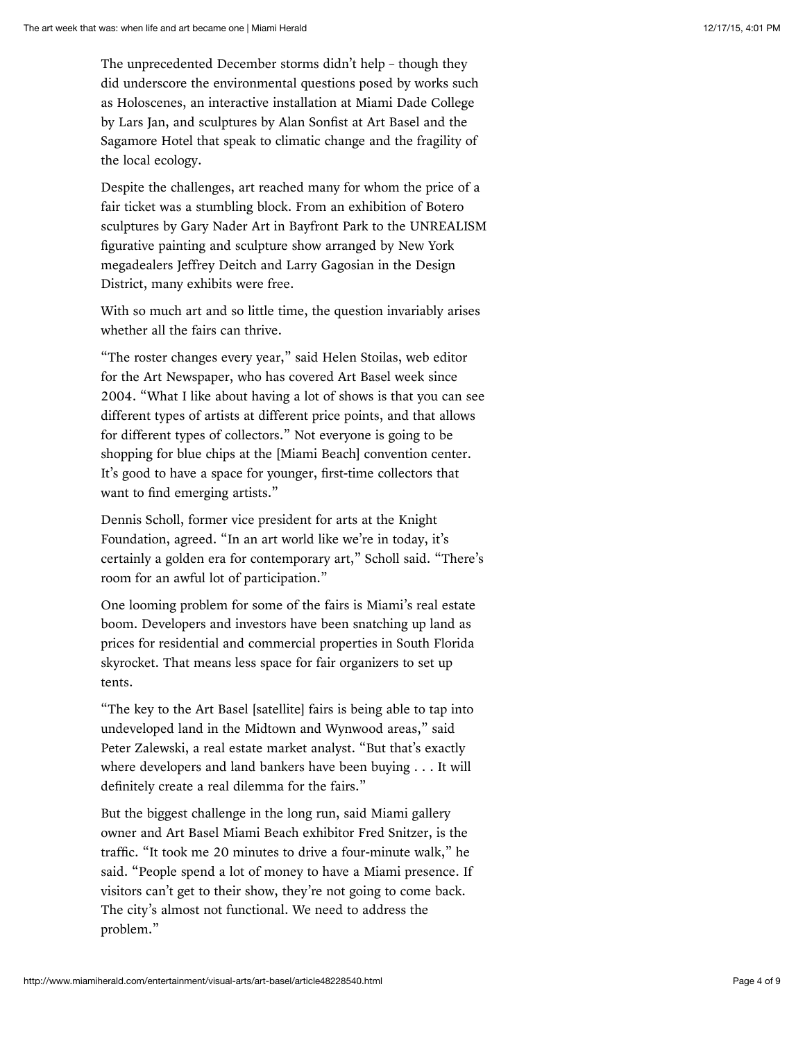The unprecedented December storms didn't help – though they did underscore the environmental questions posed by works such as Holoscenes, an interactive installation at Miami Dade College by Lars Jan, and sculptures by Alan Sonfist at Art Basel and the Sagamore Hotel that speak to climatic change and the fragility of the local ecology.

Despite the challenges, art reached many for whom the price of a fair ticket was a stumbling block. From an exhibition of Botero sculptures by Gary Nader Art in Bayfront Park to the UNREALISM figurative painting and sculpture show arranged by New York megadealers Jeffrey Deitch and Larry Gagosian in the Design District, many exhibits were free.

With so much art and so little time, the question invariably arises whether all the fairs can thrive.

"The roster changes every year," said Helen Stoilas, web editor for the Art Newspaper, who has covered Art Basel week since 2004. "What I like about having a lot of shows is that you can see different types of artists at different price points, and that allows for different types of collectors." Not everyone is going to be shopping for blue chips at the [Miami Beach] convention center. It's good to have a space for younger, first-time collectors that want to find emerging artists."

Dennis Scholl, former vice president for arts at the Knight Foundation, agreed. "In an art world like we're in today, it's certainly a golden era for contemporary art," Scholl said. "There's room for an awful lot of participation."

One looming problem for some of the fairs is Miami's real estate boom. Developers and investors have been snatching up land as prices for residential and commercial properties in South Florida skyrocket. That means less space for fair organizers to set up tents.

"The key to the Art Basel [satellite] fairs is being able to tap into undeveloped land in the Midtown and Wynwood areas," said Peter Zalewski, a real estate market analyst. "But that's exactly where developers and land bankers have been buying . . . It will definitely create a real dilemma for the fairs."

But the biggest challenge in the long run, said Miami gallery owner and Art Basel Miami Beach exhibitor Fred Snitzer, is the traffic. "It took me 20 minutes to drive a four-minute walk," he said. "People spend a lot of money to have a Miami presence. If visitors can't get to their show, they're not going to come back. The city's almost not functional. We need to address the problem."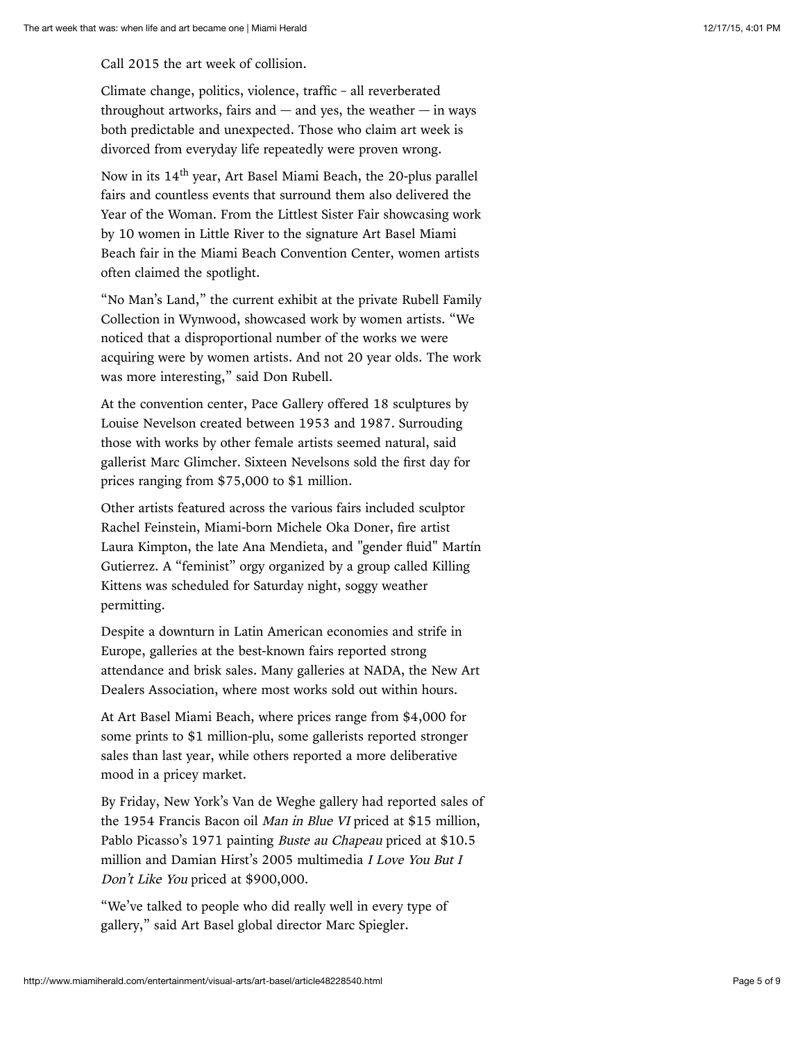Call 2015 the art week of collision.

Climate change, politics, violence, traffic – all reverberated throughout artworks, fairs and  $-$  and yes, the weather  $-$  in ways both predictable and unexpected. Those who claim art week is divorced from everyday life repeatedly were proven wrong.

Now in its 14<sup>th</sup> year, Art Basel Miami Beach, the 20-plus parallel fairs and countless events that surround them also delivered the Year of the Woman. From the Littlest Sister Fair showcasing work by 10 women in Little River to the signature Art Basel Miami Beach fair in the Miami Beach Convention Center, women artists often claimed the spotlight.

"No Man's Land," the current exhibit at the private Rubell Family Collection in Wynwood, showcased work by women artists. "We noticed that a disproportional number of the works we were acquiring were by women artists. And not 20 year olds. The work was more interesting," said Don Rubell.

At the convention center, Pace Gallery offered 18 sculptures by Louise Nevelson created between 1953 and 1987. Surrouding those with works by other female artists seemed natural, said gallerist Marc Glimcher. Sixteen Nevelsons sold the first day for prices ranging from \$75,000 to \$1 million.

Other artists featured across the various fairs included sculptor Rachel Feinstein, Miami-born Michele Oka Doner, fire artist Laura Kimpton, the late Ana Mendieta, and "gender fluid" Martín Gutierrez. A "feminist" orgy organized by a group called Killing Kittens was scheduled for Saturday night, soggy weather permitting.

Despite a downturn in Latin American economies and strife in Europe, galleries at the best-known fairs reported strong attendance and brisk sales. Many galleries at NADA, the New Art Dealers Association, where most works sold out within hours.

At Art Basel Miami Beach, where prices range from \$4,000 for some prints to \$1 million-plu, some gallerists reported stronger sales than last year, while others reported a more deliberative mood in a pricey market.

By Friday, New York's Van de Weghe gallery had reported sales of the 1954 Francis Bacon oil Man in Blue VI priced at \$15 million, Pablo Picasso's 1971 painting Buste au Chapeau priced at \$10.5 million and Damian Hirst's 2005 multimedia I Love You But I Don't Like You priced at \$900,000.

"We've talked to people who did really well in every type of gallery," said Art Basel global director Marc Spiegler.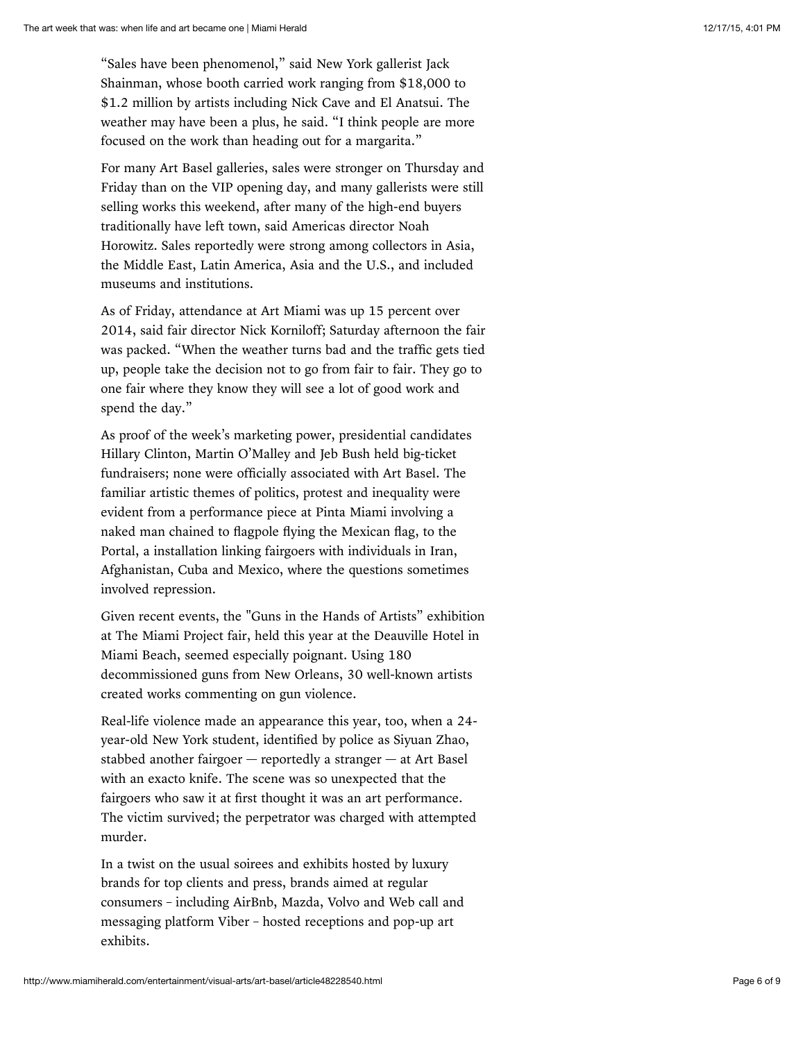"Sales have been phenomenol," said New York gallerist Jack Shainman, whose booth carried work ranging from \$18,000 to \$1.2 million by artists including Nick Cave and El Anatsui. The weather may have been a plus, he said. "I think people are more focused on the work than heading out for a margarita."

For many Art Basel galleries, sales were stronger on Thursday and Friday than on the VIP opening day, and many gallerists were still selling works this weekend, after many of the high-end buyers traditionally have left town, said Americas director Noah Horowitz. Sales reportedly were strong among collectors in Asia, the Middle East, Latin America, Asia and the U.S., and included museums and institutions.

As of Friday, attendance at Art Miami was up 15 percent over 2014, said fair director Nick Korniloff; Saturday afternoon the fair was packed. "When the weather turns bad and the traffic gets tied up, people take the decision not to go from fair to fair. They go to one fair where they know they will see a lot of good work and spend the day."

As proof of the week's marketing power, presidential candidates Hillary Clinton, Martin O'Malley and Jeb Bush held big-ticket fundraisers; none were officially associated with Art Basel. The familiar artistic themes of politics, protest and inequality were evident from a performance piece at Pinta Miami involving a naked man chained to flagpole flying the Mexican flag, to the Portal, a installation linking fairgoers with individuals in Iran, Afghanistan, Cuba and Mexico, where the questions sometimes involved repression.

Given recent events, the "Guns in the Hands of Artists" exhibition at The Miami Project fair, held this year at the Deauville Hotel in Miami Beach, seemed especially poignant. Using 180 decommissioned guns from New Orleans, 30 well-known artists created works commenting on gun violence.

Real-life violence made an appearance this year, too, when a 24 year-old New York student, identified by police as Siyuan Zhao, stabbed another fairgoer — reportedly a stranger — at Art Basel with an exacto knife. The scene was so unexpected that the fairgoers who saw it at first thought it was an art performance. The victim survived; the perpetrator was charged with attempted murder.

In a twist on the usual soirees and exhibits hosted by luxury brands for top clients and press, brands aimed at regular consumers – including AirBnb, Mazda, Volvo and Web call and messaging platform Viber – hosted receptions and pop-up art exhibits.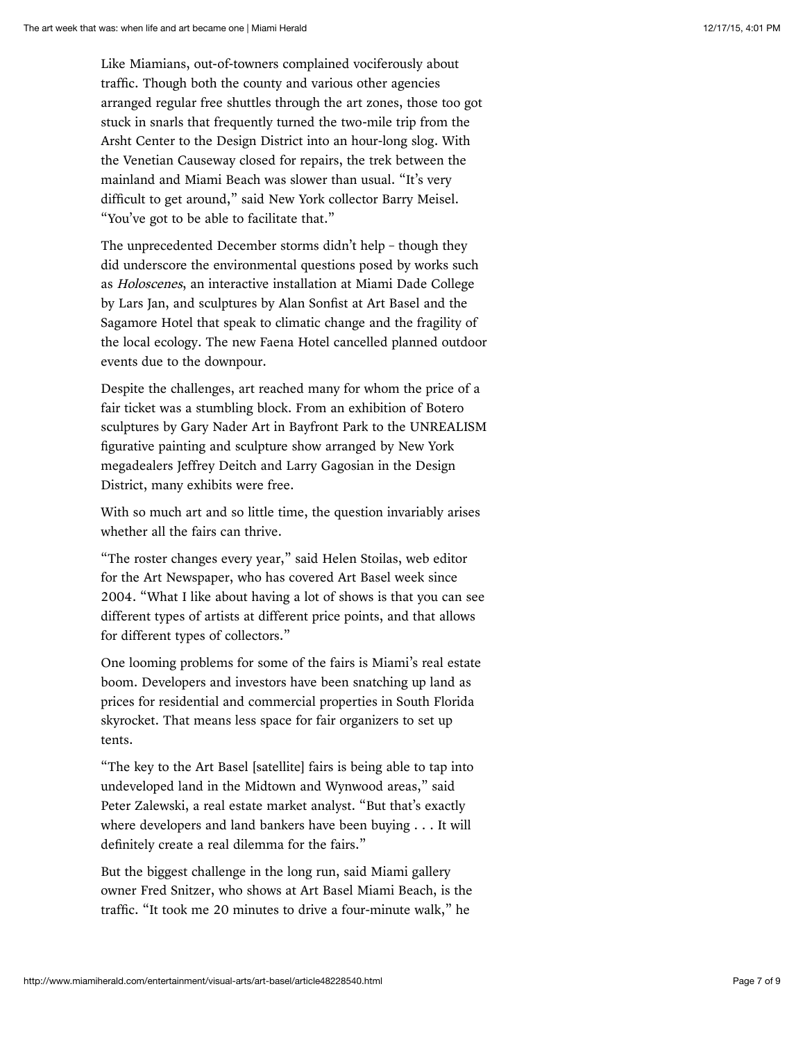Like Miamians, out-of-towners complained vociferously about traffic. Though both the county and various other agencies arranged regular free shuttles through the art zones, those too got stuck in snarls that frequently turned the two-mile trip from the Arsht Center to the Design District into an hour-long slog. With the Venetian Causeway closed for repairs, the trek between the mainland and Miami Beach was slower than usual. "It's very difficult to get around," said New York collector Barry Meisel. "You've got to be able to facilitate that."

The unprecedented December storms didn't help – though they did underscore the environmental questions posed by works such as Holoscenes, an interactive installation at Miami Dade College by Lars Jan, and sculptures by Alan Sonfist at Art Basel and the Sagamore Hotel that speak to climatic change and the fragility of the local ecology. The new Faena Hotel cancelled planned outdoor events due to the downpour.

Despite the challenges, art reached many for whom the price of a fair ticket was a stumbling block. From an exhibition of Botero sculptures by Gary Nader Art in Bayfront Park to the UNREALISM figurative painting and sculpture show arranged by New York megadealers Jeffrey Deitch and Larry Gagosian in the Design District, many exhibits were free.

With so much art and so little time, the question invariably arises whether all the fairs can thrive.

"The roster changes every year," said Helen Stoilas, web editor for the Art Newspaper, who has covered Art Basel week since 2004. "What I like about having a lot of shows is that you can see different types of artists at different price points, and that allows for different types of collectors."

One looming problems for some of the fairs is Miami's real estate boom. Developers and investors have been snatching up land as prices for residential and commercial properties in South Florida skyrocket. That means less space for fair organizers to set up tents.

"The key to the Art Basel [satellite] fairs is being able to tap into undeveloped land in the Midtown and Wynwood areas," said Peter Zalewski, a real estate market analyst. "But that's exactly where developers and land bankers have been buying . . . It will definitely create a real dilemma for the fairs."

But the biggest challenge in the long run, said Miami gallery owner Fred Snitzer, who shows at Art Basel Miami Beach, is the traffic. "It took me 20 minutes to drive a four-minute walk," he